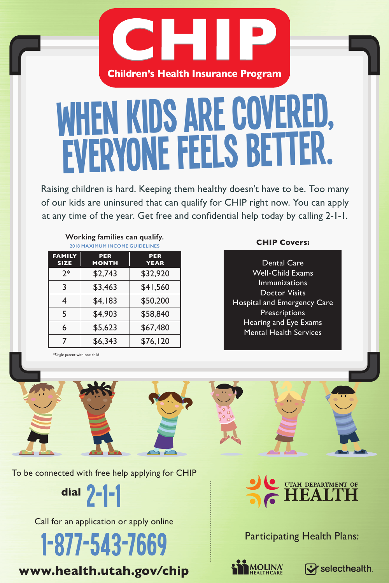

## WHEN KIDS ARE COVERED. EVERYONE FEELS BETTER.

Raising children is hard. Keeping them healthy doesn't have to be. Too many of our kids are uninsured that can qualify for CHIP right now. You can apply at any time of the year. Get free and confidential help today by calling 2-1-1.

| Working families can qualify.<br><b>2018 MAXIMUM INCOME GUIDELINES</b> |                            |                           |  |
|------------------------------------------------------------------------|----------------------------|---------------------------|--|
| <b>FAMILY</b><br><b>SIZE</b>                                           | <b>PER</b><br><b>MONTH</b> | <b>PER</b><br><b>YEAR</b> |  |
| $2*$                                                                   | \$2,743                    | \$32,920                  |  |
| 3                                                                      | \$3,463                    | \$41,560                  |  |
| 4                                                                      | \$4,183                    | \$50,200                  |  |
| 5                                                                      | \$4,903                    | \$58,840                  |  |
| 6                                                                      | \$5,623                    | \$67,480                  |  |
|                                                                        | \$6.343                    | \$76.120                  |  |

\*Single parent with one child

## **2018 Covers:**

Dental Care Well-Child Exams Immunizations Doctor Visits Hospital and Emergency Care **Prescriptions** Hearing and Eye Exams Mental Health Services

To be connected with free help applying for CHIP

**dial** 2-1-1

Call for an application or apply online

1-877-543-7669

**www.health.utah.gov/chip**

UTAH DEPARTMENT OF

Participating Health Plans:

 $\mathbf{\mathcal{Q}}$  selecthealth.